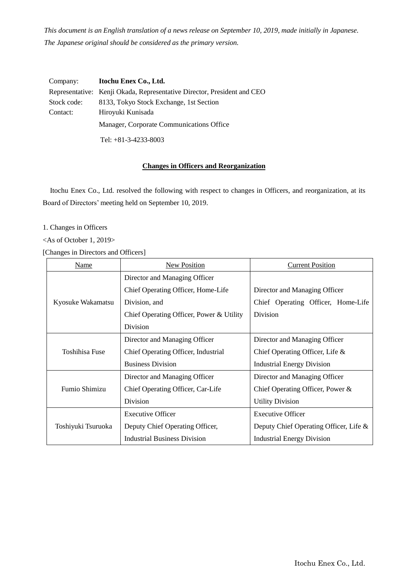*This document is an English translation of a news release on September 10, 2019, made initially in Japanese. The Japanese original should be considered as the primary version.*

| Company:    | Itochu Enex Co., Ltd.                                                   |
|-------------|-------------------------------------------------------------------------|
|             | Representative: Kenji Okada, Representative Director, President and CEO |
| Stock code: | 8133, Tokyo Stock Exchange, 1st Section                                 |
| Contact:    | Hiroyuki Kunisada                                                       |
|             | Manager, Corporate Communications Office                                |
|             | Tel: $+81-3-4233-8003$                                                  |

## **Changes in Officers and Reorganization**

Itochu Enex Co., Ltd. resolved the following with respect to changes in Officers, and reorganization, at its Board of Directors' meeting held on September 10, 2019.

1. Changes in Officers

<As of October 1, 2019>

[Changes in Directors and Officers]

| Name               | <b>New Position</b>                      | <b>Current Position</b>                |
|--------------------|------------------------------------------|----------------------------------------|
| Kyosuke Wakamatsu  | Director and Managing Officer            |                                        |
|                    | Chief Operating Officer, Home-Life       | Director and Managing Officer          |
|                    | Division, and                            | Chief Operating Officer, Home-Life     |
|                    | Chief Operating Officer, Power & Utility | <b>Division</b>                        |
|                    | Division                                 |                                        |
| Toshihisa Fuse     | Director and Managing Officer            | Director and Managing Officer          |
|                    | Chief Operating Officer, Industrial      | Chief Operating Officer, Life &        |
|                    | <b>Business Division</b>                 | <b>Industrial Energy Division</b>      |
| Fumio Shimizu      | Director and Managing Officer            | Director and Managing Officer          |
|                    | Chief Operating Officer, Car-Life        | Chief Operating Officer, Power $\&$    |
|                    | <b>Division</b>                          | <b>Utility Division</b>                |
| Toshiyuki Tsuruoka | <b>Executive Officer</b>                 | <b>Executive Officer</b>               |
|                    | Deputy Chief Operating Officer,          | Deputy Chief Operating Officer, Life & |
|                    | Industrial Business Division             | <b>Industrial Energy Division</b>      |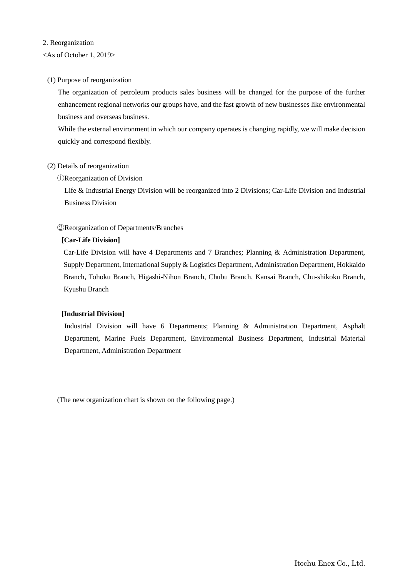#### 2. Reorganization

## <As of October 1, 2019>

### (1) Purpose of reorganization

The organization of petroleum products sales business will be changed for the purpose of the further enhancement regional networks our groups have, and the fast growth of new businesses like environmental business and overseas business.

While the external environment in which our company operates is changing rapidly, we will make decision quickly and correspond flexibly.

#### (2) Details of reorganization

①Reorganization of Division

Life & Industrial Energy Division will be reorganized into 2 Divisions; Car-Life Division and Industrial Business Division

## ②Reorganization of Departments/Branches

#### **[Car-Life Division]**

Car-Life Division will have 4 Departments and 7 Branches; Planning & Administration Department, Supply Department, International Supply & Logistics Department, Administration Department, Hokkaido Branch, Tohoku Branch, Higashi-Nihon Branch, Chubu Branch, Kansai Branch, Chu-shikoku Branch, Kyushu Branch

## **[Industrial Division]**

 Industrial Division will have 6 Departments; Planning & Administration Department, Asphalt Department, Marine Fuels Department, Environmental Business Department, Industrial Material Department, Administration Department

(The new organization chart is shown on the following page.)